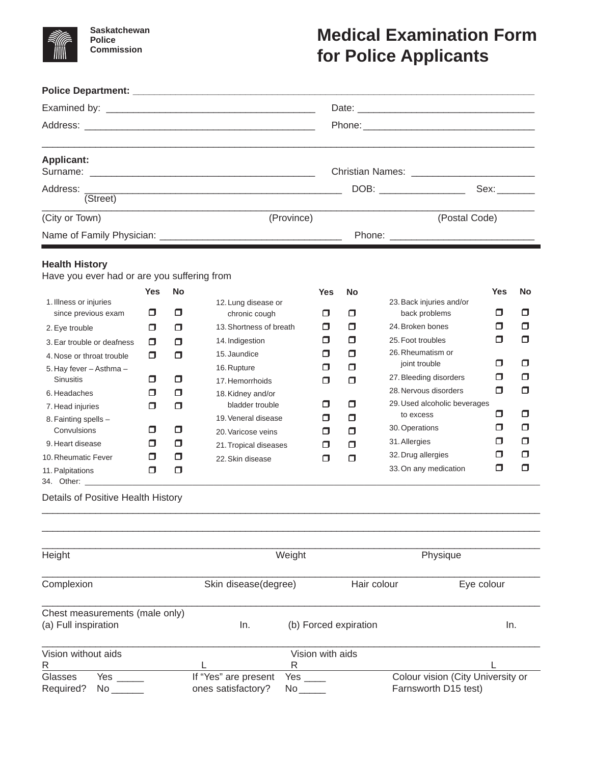

**Saskatchewan Police Commission**

## **Medical Examination Form for Police Applicants**

| <b>Applicant:</b>                                                    |            |                              |                                      |            |                      |                           |                                           |        |        |  |  |
|----------------------------------------------------------------------|------------|------------------------------|--------------------------------------|------------|----------------------|---------------------------|-------------------------------------------|--------|--------|--|--|
| Address:                                                             |            |                              |                                      |            |                      |                           | DOB: __________________                   |        |        |  |  |
| (Street)                                                             |            |                              |                                      |            |                      |                           |                                           |        |        |  |  |
| (City or Town)                                                       |            |                              |                                      | (Province) |                      |                           | (Postal Code)                             |        |        |  |  |
|                                                                      |            |                              |                                      |            |                      |                           |                                           |        |        |  |  |
| <b>Health History</b><br>Have you ever had or are you suffering from |            |                              |                                      |            |                      |                           |                                           |        |        |  |  |
|                                                                      | <b>Yes</b> | <b>No</b>                    |                                      |            | Yes                  | <b>No</b>                 |                                           | Yes    | No     |  |  |
| 1. Illness or injuries<br>since previous exam                        | 0          | $\Box$                       | 12. Lung disease or<br>chronic cough |            | Π                    | П                         | 23. Back injuries and/or<br>back problems | $\Box$ | $\Box$ |  |  |
| 2. Eye trouble                                                       | σ          | $\Box$                       | 13. Shortness of breath              |            | σ                    | α                         | 24. Broken bones                          | σ      | Ο      |  |  |
| 3. Ear trouble or deafness                                           | 0.         | α                            | 14. Indigestion                      |            | σ                    | α                         | 25. Foot troubles                         | $\Box$ | Ο      |  |  |
| 4. Nose or throat trouble                                            | 0.         | $\Box$                       | 15. Jaundice                         |            | Π                    | $\Box$                    | 26. Rheumatism or                         | σ      | ◘      |  |  |
| 5. Hay fever - Asthma -                                              |            |                              | 16. Rupture                          |            | σ                    | α                         | joint trouble<br>27. Bleeding disorders   | Π      | Ο      |  |  |
| <b>Sinusitis</b>                                                     | σ          | σ                            | 17. Hemorrhoids                      |            | α                    | $\Box$                    | 28. Nervous disorders                     | α      | Ο      |  |  |
| 6. Headaches                                                         | α<br>σ     | Ο<br>$\Box$                  | 18. Kidney and/or<br>bladder trouble |            | σ                    | α                         | 29. Used alcoholic beverages              |        |        |  |  |
| 7. Head injuries<br>8. Fainting spells -                             |            |                              | 19. Veneral disease                  |            | σ                    | α                         | to excess                                 | σ      | Ο      |  |  |
| Convulsions                                                          | Π          | $\Box$                       | 20. Varicose veins                   |            | σ                    | Ο                         | 30. Operations                            | σ      | Ο      |  |  |
| 9. Heart disease                                                     | Π          | α                            | 21. Tropical diseases                |            | Ο                    | Ο                         | 31. Allergies                             | σ      | Ο      |  |  |
| 10. Rheumatic Fever                                                  | Π          | α                            | 22. Skin disease                     |            | Ο                    | Ω                         | 32. Drug allergies                        | σ      | Ο      |  |  |
| 11. Palpitations                                                     | $\Box$     | $\Box$                       |                                      |            |                      |                           | 33. On any medication                     | Ο      | Ο      |  |  |
| Details of Positive Health History                                   |            |                              |                                      |            |                      |                           |                                           |        |        |  |  |
|                                                                      |            |                              |                                      |            |                      |                           |                                           |        |        |  |  |
| Height                                                               |            |                              | Weight                               |            |                      | Physique                  |                                           |        |        |  |  |
| Complexion                                                           |            | Skin disease(degree)         |                                      |            |                      | Hair colour<br>Eye colour |                                           |        |        |  |  |
| Chest measurements (male only)                                       |            |                              |                                      |            |                      |                           |                                           |        |        |  |  |
| (a) Full inspiration                                                 |            | In.<br>(b) Forced expiration |                                      |            |                      | In.                       |                                           |        |        |  |  |
| Vision without aids                                                  |            |                              |                                      | R          | Vision with aids     |                           |                                           |        |        |  |  |
| R<br>Glasses<br>Yes                                                  |            |                              | L<br>If "Yes" are present            | Yes $\_\_$ |                      |                           | Colour vision (City University or         |        |        |  |  |
| ones satisfactory?<br>Required?<br>No                                |            |                              |                                      |            | Farnsworth D15 test) |                           |                                           |        |        |  |  |